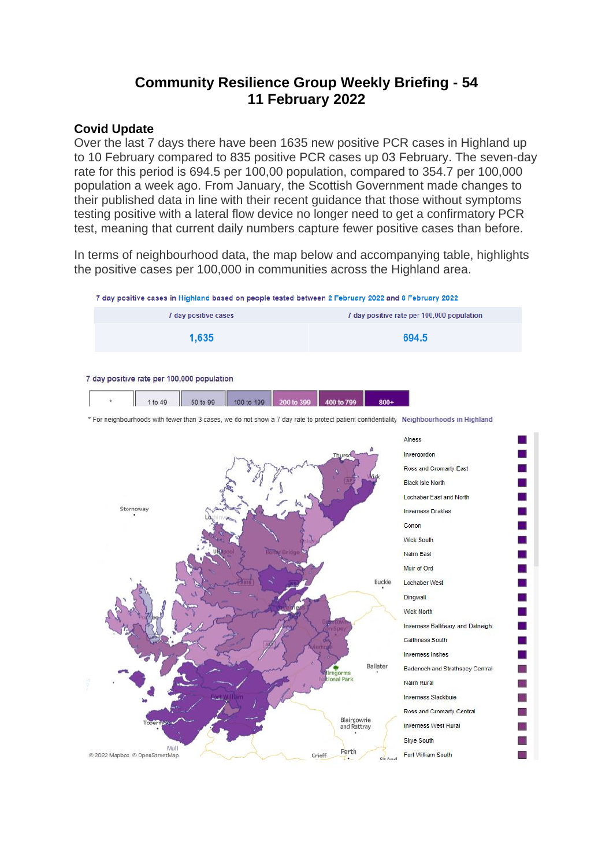# **Community Resilience Group Weekly Briefing - 54 11 February 2022**

#### **Covid Update**

Over the last 7 days there have been 1635 new positive PCR cases in Highland up to 10 February compared to 835 positive PCR cases up 03 February. The seven-day rate for this period is 694.5 per 100,00 population, compared to 354.7 per 100,000 population a week ago. From January, the Scottish Government made changes to their published data in line with their recent guidance that those without symptoms testing positive with a lateral flow device no longer need to get a confirmatory PCR test, meaning that current daily numbers capture fewer positive cases than before.

In terms of neighbourhood data, the map below and accompanying table, highlights the positive cases per 100,000 in communities across the Highland area.

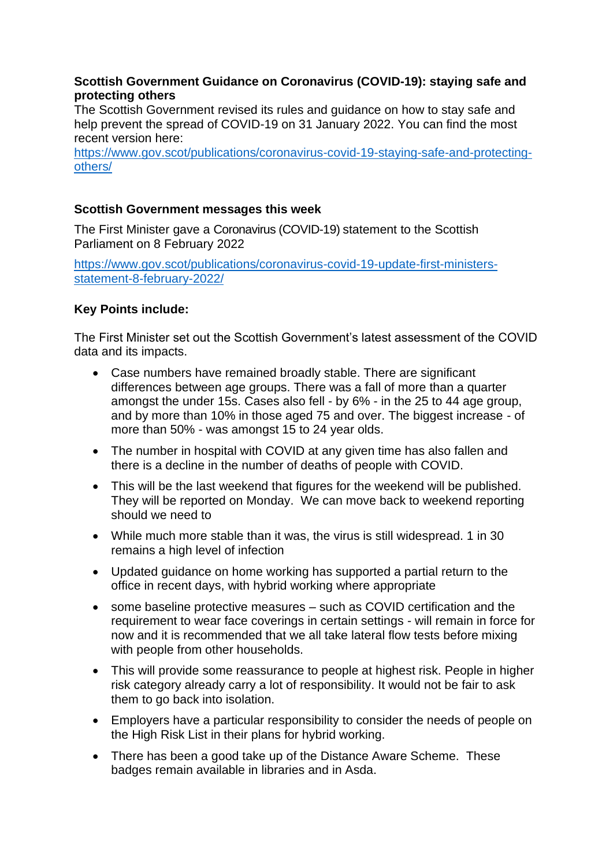## **Scottish Government Guidance on Coronavirus (COVID-19): staying safe and protecting others**

The Scottish Government revised its rules and guidance on how to stay safe and help prevent the spread of COVID-19 on 31 January 2022. You can find the most recent version here:

[https://www.gov.scot/publications/coronavirus-covid-19-staying-safe-and-protecting](https://www.gov.scot/publications/coronavirus-covid-19-staying-safe-and-protecting-others/)[others/](https://www.gov.scot/publications/coronavirus-covid-19-staying-safe-and-protecting-others/)

# **Scottish Government messages this week**

The First Minister gave a Coronavirus (COVID-19) statement to the Scottish Parliament on 8 February 2022

[https://www.gov.scot/publications/coronavirus-covid-19-update-first-ministers](https://www.gov.scot/publications/coronavirus-covid-19-update-first-ministers-statement-8-february-2022/)[statement-8-february-2022/](https://www.gov.scot/publications/coronavirus-covid-19-update-first-ministers-statement-8-february-2022/)

# **Key Points include:**

The First Minister set out the Scottish Government's latest assessment of the COVID data and its impacts.

- Case numbers have remained broadly stable. There are significant differences between age groups. There was a fall of more than a quarter amongst the under 15s. Cases also fell - by 6% - in the 25 to 44 age group, and by more than 10% in those aged 75 and over. The biggest increase - of more than 50% - was amongst 15 to 24 year olds.
- The number in hospital with COVID at any given time has also fallen and there is a decline in the number of deaths of people with COVID.
- This will be the last weekend that figures for the weekend will be published. They will be reported on Monday. We can move back to weekend reporting should we need to
- While much more stable than it was, the virus is still widespread. 1 in 30 remains a high level of infection
- Updated guidance on home working has supported a partial return to the office in recent days, with hybrid working where appropriate
- some baseline protective measures such as COVID certification and the requirement to wear face coverings in certain settings - will remain in force for now and it is recommended that we all take lateral flow tests before mixing with people from other households.
- This will provide some reassurance to people at highest risk. People in higher risk category already carry a lot of responsibility. It would not be fair to ask them to go back into isolation.
- Employers have a particular responsibility to consider the needs of people on the High Risk List in their plans for hybrid working.
- There has been a good take up of the Distance Aware Scheme. These badges remain available in libraries and in Asda.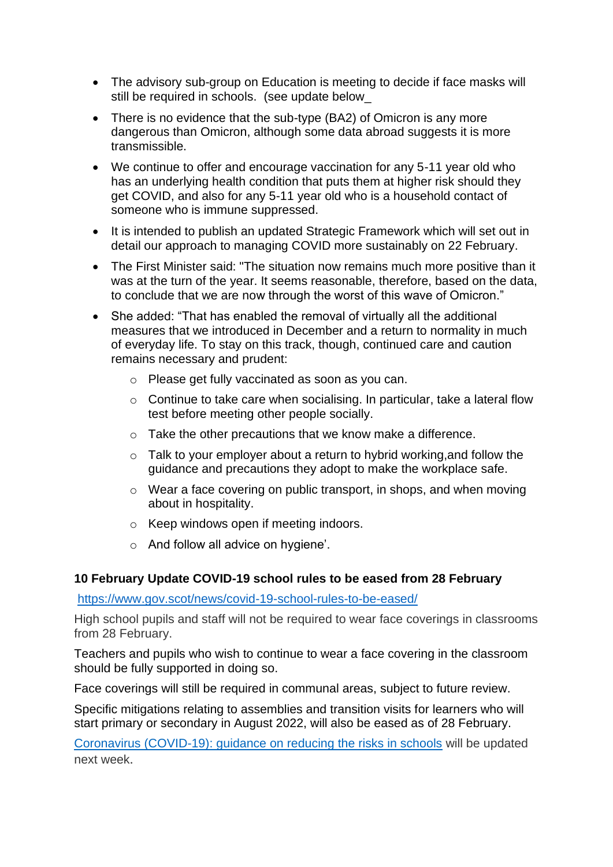- The advisory sub-group on Education is meeting to decide if face masks will still be required in schools. (see update below\_
- There is no evidence that the sub-type (BA2) of Omicron is any more dangerous than Omicron, although some data abroad suggests it is more transmissible.
- We continue to offer and encourage vaccination for any 5-11 year old who has an underlying health condition that puts them at higher risk should they get COVID, and also for any 5-11 year old who is a household contact of someone who is immune suppressed.
- It is intended to publish an updated Strategic Framework which will set out in detail our approach to managing COVID more sustainably on 22 February.
- The First Minister said: "The situation now remains much more positive than it was at the turn of the year. It seems reasonable, therefore, based on the data, to conclude that we are now through the worst of this wave of Omicron."
- She added: "That has enabled the removal of virtually all the additional measures that we introduced in December and a return to normality in much of everyday life. To stay on this track, though, continued care and caution remains necessary and prudent:
	- o Please get fully vaccinated as soon as you can.
	- o Continue to take care when socialising. In particular, take a lateral flow test before meeting other people socially.
	- o Take the other precautions that we know make a difference.
	- o Talk to your employer about a return to hybrid working,and follow the guidance and precautions they adopt to make the workplace safe.
	- o Wear a face covering on public transport, in shops, and when moving about in hospitality.
	- o Keep windows open if meeting indoors.
	- o And follow all advice on hygiene'.

#### **10 February Update COVID-19 school rules to be eased from 28 February**

<https://www.gov.scot/news/covid-19-school-rules-to-be-eased/>

High school pupils and staff will not be required to wear face coverings in classrooms from 28 February.

Teachers and pupils who wish to continue to wear a face covering in the classroom should be fully supported in doing so.

Face coverings will still be required in communal areas, subject to future review.

Specific mitigations relating to assemblies and transition visits for learners who will start primary or secondary in August 2022, will also be eased as of 28 February.

[Coronavirus \(COVID-19\): guidance on reducing the risks in schools](https://www.gov.scot/publications/coronavirus-covid-19-guidance-on-reducing-the-risks-in-schools/pages/overview/) will be updated next week.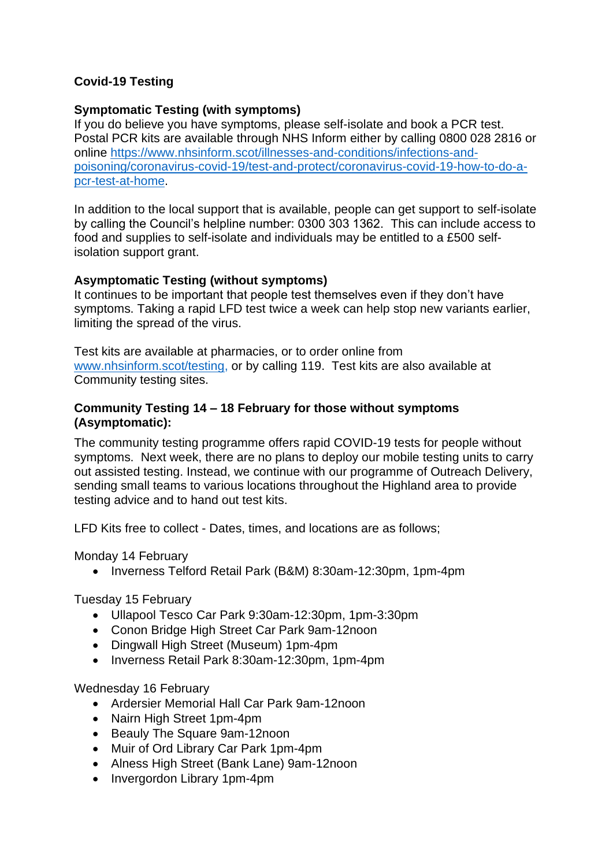# **Covid-19 Testing**

## **Symptomatic Testing (with symptoms)**

If you do believe you have symptoms, please self-isolate and book a PCR test. Postal PCR kits are available through NHS Inform either by calling 0800 028 2816 or online [https://www.nhsinform.scot/illnesses-and-conditions/infections-and](https://www.nhsinform.scot/illnesses-and-conditions/infections-and-poisoning/coronavirus-covid-19/test-and-protect/coronavirus-covid-19-how-to-do-a-pcr-test-at-home)[poisoning/coronavirus-covid-19/test-and-protect/coronavirus-covid-19-how-to-do-a](https://www.nhsinform.scot/illnesses-and-conditions/infections-and-poisoning/coronavirus-covid-19/test-and-protect/coronavirus-covid-19-how-to-do-a-pcr-test-at-home)[pcr-test-at-home.](https://www.nhsinform.scot/illnesses-and-conditions/infections-and-poisoning/coronavirus-covid-19/test-and-protect/coronavirus-covid-19-how-to-do-a-pcr-test-at-home)

In addition to the local support that is available, people can get support to self-isolate by calling the Council's helpline number: 0300 303 1362. This can include access to food and supplies to self-isolate and individuals may be entitled to a £500 selfisolation support grant.

## **Asymptomatic Testing (without symptoms)**

It continues to be important that people test themselves even if they don't have symptoms. Taking a rapid LFD test twice a week can help stop new variants earlier, limiting the spread of the virus.

Test kits are available at pharmacies, or to order online from [www.nhsinform.scot/testing,](http://www.nhsinform.scot/testing) or by calling 119. Test kits are also available at Community testing sites.

#### **Community Testing 14 – 18 February for those without symptoms (Asymptomatic):**

The community testing programme offers rapid COVID-19 tests for people without symptoms. Next week, there are no plans to deploy our mobile testing units to carry out assisted testing. Instead, we continue with our programme of Outreach Delivery, sending small teams to various locations throughout the Highland area to provide testing advice and to hand out test kits.

LFD Kits free to collect - Dates, times, and locations are as follows;

Monday 14 February

• Inverness Telford Retail Park (B&M) 8:30am-12:30pm, 1pm-4pm

Tuesday 15 February

- Ullapool Tesco Car Park 9:30am-12:30pm, 1pm-3:30pm
- Conon Bridge High Street Car Park 9am-12noon
- Dingwall High Street (Museum) 1pm-4pm
- Inverness Retail Park 8:30am-12:30pm, 1pm-4pm

Wednesday 16 February

- Ardersier Memorial Hall Car Park 9am-12noon
- Nairn High Street 1pm-4pm
- Beauly The Square 9am-12noon
- Muir of Ord Library Car Park 1pm-4pm
- Alness High Street (Bank Lane) 9am-12noon
- Invergordon Library 1pm-4pm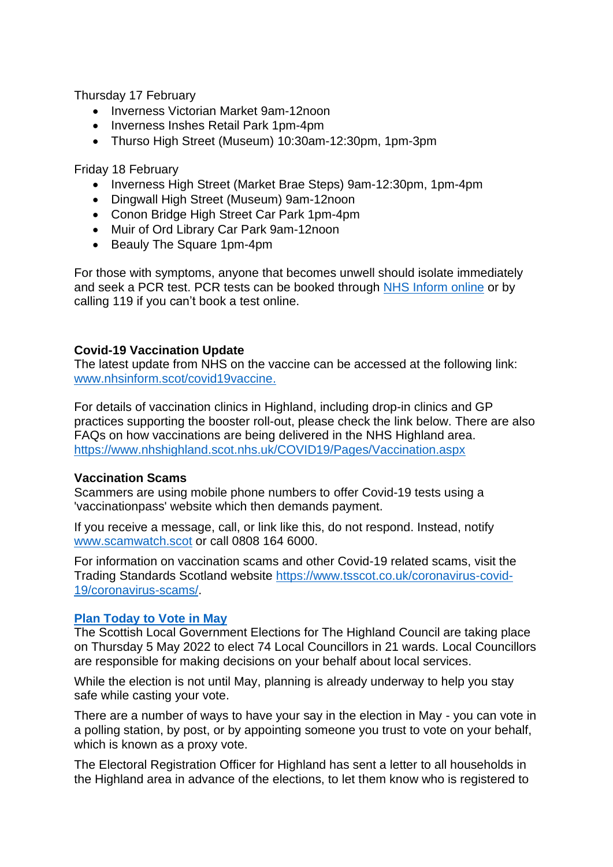Thursday 17 February

- Inverness Victorian Market 9am-12noon
- Inverness Inshes Retail Park 1pm-4pm
- Thurso High Street (Museum) 10:30am-12:30pm, 1pm-3pm

Friday 18 February

- Inverness High Street (Market Brae Steps) 9am-12:30pm, 1pm-4pm
- Dingwall High Street (Museum) 9am-12noon
- Conon Bridge High Street Car Park 1pm-4pm
- Muir of Ord Library Car Park 9am-12noon
- Beauly The Square 1pm-4pm

For those with symptoms, anyone that becomes unwell should isolate immediately and seek a PCR test. PCR tests can be booked through NHS [Inform](https://www.nhsinform.scot/illnesses-and-conditions/infections-and-poisoning/coronavirus-covid-19/test-and-protect/coronavirus-covid-19-get-a-test-if-you-have-symptoms) online or by calling 119 if you can't book a test online.

## **Covid-19 Vaccination Update**

The latest update from NHS on the vaccine can be accessed at the following link: [www.nhsinform.scot/covid19vaccine.](http://www.nhsinform.scot/covid19vaccine)

For details of vaccination clinics in Highland, including drop-in clinics and GP practices supporting the booster roll-out, please check the link below. There are also FAQs on how vaccinations are being delivered in the NHS Highland area. <https://www.nhshighland.scot.nhs.uk/COVID19/Pages/Vaccination.aspx>

#### **Vaccination Scams**

Scammers are using mobile phone numbers to offer Covid-19 tests using a 'vaccinationpass' website which then demands payment.

If you receive a message, call, or link like this, do not respond. Instead, notify [www.scamwatch.scot](https://l.facebook.com/l.php?u=http%3A%2F%2Fwww.scamwatch.scot%2F%3Ffbclid%3DIwAR1CaklQ6iwavFGlp5wGDowoOIQAIkVsr2aHwiu7cGzNoEY_ESeOOyTPex4&h=AT2cl3YgxOodbMWJBxy2LnYguaMttXmC99x_F1OYDn-BVq2Z_ko9mv0LaXAzaBAxVlnp-JCla3gPx5JSO_61K3DsLAcsx0a_eClEc-8WUpVcclYRGyB__0Pf1pe_1jGtPQ&__tn__=-UK-R&c%5b0%5d=AT3JSNQACBoUlAeDvOyI1FQ5CjRUKSKlbEgSC4-XFWORzzDjL7GKJqHUQkylGZ2kgiZGypec69ZGfxWQF2ywRbyopg37e9YxDn0jLUrTVKkMoLj9b_3Uyostyye8do4cQGl_OAqpIXv_FMedmyV2mbbyxHfWSu0IBLzYH6xQ5PTl0-WpCtCw) or call 0808 164 6000.

For information on vaccination scams and other Covid-19 related scams, visit the Trading Standards Scotland website [https://www.tsscot.co.uk/coronavirus-covid-](https://www.tsscot.co.uk/coronavirus-covid-19/coronavirus-scams/)[19/coronavirus-scams/.](https://www.tsscot.co.uk/coronavirus-covid-19/coronavirus-scams/)

#### **[Plan Today to Vote in May](http://www.saa.gov.uk/h-wi-vjb)**

The Scottish Local Government Elections for The Highland Council are taking place on Thursday 5 May 2022 to elect 74 Local Councillors in 21 wards. Local Councillors are responsible for making decisions on your behalf about local services.

While the election is not until May, planning is already underway to help you stay safe while casting your vote.

There are a number of ways to have your say in the election in May - you can vote in a polling station, by post, or by appointing someone you trust to vote on your behalf, which is known as a proxy vote.

The Electoral Registration Officer for Highland has sent a letter to all households in the Highland area in advance of the elections, to let them know who is registered to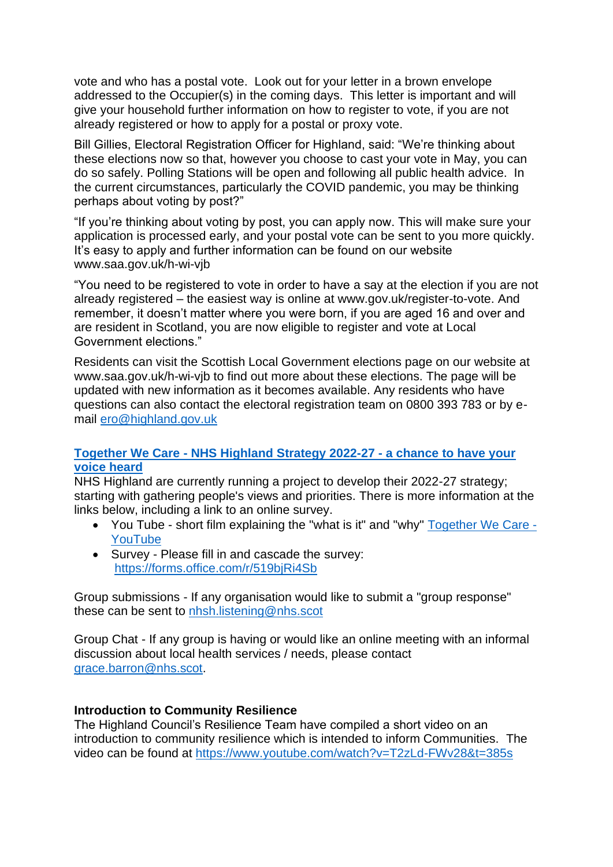vote and who has a postal vote. Look out for your letter in a brown envelope addressed to the Occupier(s) in the coming days. This letter is important and will give your household further information on how to register to vote, if you are not already registered or how to apply for a postal or proxy vote.

Bill Gillies, Electoral Registration Officer for Highland, said: "We're thinking about these elections now so that, however you choose to cast your vote in May, you can do so safely. Polling Stations will be open and following all public health advice. In the current circumstances, particularly the COVID pandemic, you may be thinking perhaps about voting by post?"

"If you're thinking about voting by post, you can apply now. This will make sure your application is processed early, and your postal vote can be sent to you more quickly. It's easy to apply and further information can be found on our website www.saa.gov.uk/h-wi-vjb

"You need to be registered to vote in order to have a say at the election if you are not already registered – the easiest way is online at www.gov.uk/register-to-vote. And remember, it doesn't matter where you were born, if you are aged 16 and over and are resident in Scotland, you are now eligible to register and vote at Local Government elections."

Residents can visit the Scottish Local Government elections page on our website at www.saa.gov.uk/h-wi-vjb to find out more about these elections. The page will be updated with new information as it becomes available. Any residents who have questions can also contact the electoral registration team on 0800 393 783 or by email [ero@highland.gov.uk](mailto:ero@highland.gov.uk)

## **Together We Care - [NHS Highland Strategy 2022-27 -](https://www.nhshighland.scot.nhs.uk/News/Pages/NHSHighlandTogetherWeCare.aspx) a chance to have your [voice heard](https://www.nhshighland.scot.nhs.uk/News/Pages/NHSHighlandTogetherWeCare.aspx)**

NHS Highland are currently running a project to develop their 2022-27 strategy; starting with gathering people's views and priorities. There is more information at the links below, including a link to an online survey.

- You Tube short film explaining the "what is it" and "why" [Together](https://eur02.safelinks.protection.outlook.com/?url=https%3A%2F%2Fwww.youtube.com%2Fwatch%3Fv%3DrCQlRswUVEY&data=04%7C01%7CRosemary.MacKinnon%40highland.gov.uk%7C46d45b7669314bd611ad08d9ec0670a5%7C89f0b56e6d164fe89dba176fa940f7c9%7C0%7C0%7C637800334662170395%7CUnknown%7CTWFpbGZsb3d8eyJWIjoiMC4wLjAwMDAiLCJQIjoiV2luMzIiLCJBTiI6Ik1haWwiLCJXVCI6Mn0%3D%7C3000&sdata=Exnyp%2FXgTX7CzVNm8mMcv28dDiKGMSA4KkxFt3NlNjE%3D&reserved=0) We Care [YouTube](https://eur02.safelinks.protection.outlook.com/?url=https%3A%2F%2Fwww.youtube.com%2Fwatch%3Fv%3DrCQlRswUVEY&data=04%7C01%7CRosemary.MacKinnon%40highland.gov.uk%7C46d45b7669314bd611ad08d9ec0670a5%7C89f0b56e6d164fe89dba176fa940f7c9%7C0%7C0%7C637800334662170395%7CUnknown%7CTWFpbGZsb3d8eyJWIjoiMC4wLjAwMDAiLCJQIjoiV2luMzIiLCJBTiI6Ik1haWwiLCJXVCI6Mn0%3D%7C3000&sdata=Exnyp%2FXgTX7CzVNm8mMcv28dDiKGMSA4KkxFt3NlNjE%3D&reserved=0)
- Survey Please fill in and cascade the survey: <https://forms.office.com/r/519bjRi4Sb>

Group submissions - If any organisation would like to submit a "group response" these can be sent to [nhsh.listening@nhs.scot](mailto:nhsh.listening@nhs.scot) 

Group Chat - If any group is having or would like an online meeting with an informal discussion about local health services / needs, please contact [grace.barron@nhs.scot.](mailto:grace.barron@nhs.scot)

# **Introduction to Community Resilience**

The Highland Council's Resilience Team have compiled a short video on an introduction to community resilience which is intended to inform Communities. The video can be found at [https://www.youtube.com/watch?v=T2zLd-FWv28&t=385s](https://eur02.safelinks.protection.outlook.com/?url=https%3A%2F%2Fwww.youtube.com%2Fwatch%3Fv%3DT2zLd-FWv28%26t%3D385s&data=04%7C01%7CRosemary.MacKinnon%40highland.gov.uk%7C4c2904020bf14ede1a3d08d9ebb80c3d%7C89f0b56e6d164fe89dba176fa940f7c9%7C0%7C0%7C637799997965754291%7CUnknown%7CTWFpbGZsb3d8eyJWIjoiMC4wLjAwMDAiLCJQIjoiV2luMzIiLCJBTiI6Ik1haWwiLCJXVCI6Mn0%3D%7C3000&sdata=JF0ADqkt695ffmA%2FSmn67FczWdS5jaa3A02pBBIV%2BVg%3D&reserved=0)